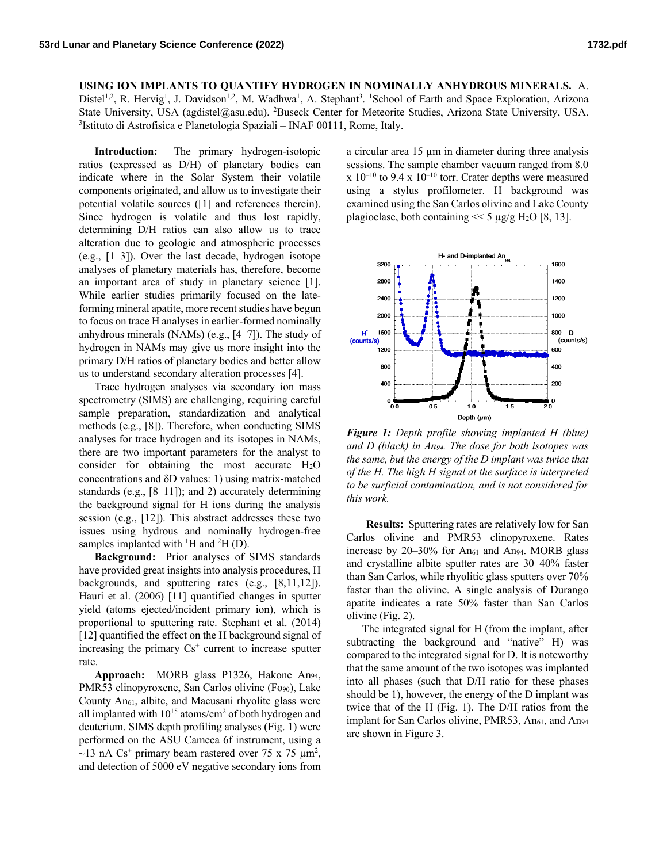**USING ION IMPLANTS TO QUANTIFY HYDROGEN IN NOMINALLY ANHYDROUS MINERALS.** A. Distel<sup>1,2</sup>, R. Hervig<sup>1</sup>, J. Davidson<sup>1,2</sup>, M. Wadhwa<sup>1</sup>, A. Stephant<sup>3</sup>. <sup>1</sup>School of Earth and Space Exploration, Arizona State University, USA (agdistel@asu.edu). <sup>2</sup>Buseck Center for Meteorite Studies, Arizona State University, USA.<br><sup>3</sup>Istituto di Astrofisica e Planetologia Spaziali – INAE 00111 Rome Italy. <sup>3</sup>Istituto di Astrofisica e Planetologia Spaziali - INAF 00111, Rome, Italy.

**Introduction:** The primary hydrogen-isotopic ratios (expressed as D/H) of planetary bodies can indicate where in the Solar System their volatile components originated, and allow us to investigate their potential volatile sources ([1] and references therein). Since hydrogen is volatile and thus lost rapidly, determining D/H ratios can also allow us to trace alteration due to geologic and atmospheric processes (e.g., [1–3]). Over the last decade, hydrogen isotope analyses of planetary materials has, therefore, become an important area of study in planetary science [1]. While earlier studies primarily focused on the lateforming mineral apatite, more recent studies have begun to focus on trace H analyses in earlier-formed nominally anhydrous minerals (NAMs) (e.g., [4–7]). The study of hydrogen in NAMs may give us more insight into the primary D/H ratios of planetary bodies and better allow us to understand secondary alteration processes [4].

Trace hydrogen analyses via secondary ion mass spectrometry (SIMS) are challenging, requiring careful sample preparation, standardization and analytical methods (e.g., [8]). Therefore, when conducting SIMS analyses for trace hydrogen and its isotopes in NAMs, there are two important parameters for the analyst to consider for obtaining the most accurate  $H_2O$ concentrations and  $\delta$ D values: 1) using matrix-matched standards (e.g., [8–11]); and 2) accurately determining the background signal for H ions during the analysis session (e.g., [12]). This abstract addresses these two issues using hydrous and nominally hydrogen-free samples implanted with  ${}^{1}H$  and  ${}^{2}H$  (D).

**Background:** Prior analyses of SIMS standards have provided great insights into analysis procedures, H backgrounds, and sputtering rates (e.g., [8,11,12]). Hauri et al. (2006) [11] quantified changes in sputter yield (atoms ejected/incident primary ion), which is proportional to sputtering rate. Stephant et al. (2014) [12] quantified the effect on the H background signal of increasing the primary  $Cs<sup>+</sup>$  current to increase sputter rate.

**Approach:** MORB glass P1326, Hakone An94, PMR53 clinopyroxene, San Carlos olivine (Fo90), Lake County An61, albite, and Macusani rhyolite glass were all implanted with  $10^{15}$  atoms/cm<sup>2</sup> of both hydrogen and deuterium. SIMS depth profiling analyses (Fig. 1) were performed on the ASU Cameca 6f instrument, using a  $\sim$ 13 nA Cs<sup>+</sup> primary beam rastered over 75 x 75  $\mu$ m<sup>2</sup>, and detection of 5000 eV negative secondary ions from

a circular area 15 µm in diameter during three analysis sessions. The sample chamber vacuum ranged from 8.0  $x$  10<sup>-10</sup> to 9.4 x 10<sup>-10</sup> torr. Crater depths were measured using a stylus profilometer. H background was examined using the San Carlos olivine and Lake County plagioclase, both containing  $<< 5 \mu g/g H_2O [8, 13]$ .



*Figure 1: Depth profile showing implanted H (blue) and D (black) in An94. The dose for both isotopes was the same, but the energy of the D implant was twice that of the H. The high H signal at the surface is interpreted to be surficial contamination, and is not considered for this work.*

**Results:** Sputtering rates are relatively low for San Carlos olivine and PMR53 clinopyroxene. Rates increase by 20-30% for An<sub>61</sub> and An<sub>94</sub>. MORB glass and crystalline albite sputter rates are 30–40% faster than San Carlos, while rhyolitic glass sputters over 70% faster than the olivine. A single analysis of Durango apatite indicates a rate 50% faster than San Carlos olivine (Fig. 2).

The integrated signal for H (from the implant, after subtracting the background and "native" H) was compared to the integrated signal for D. It is noteworthy that the same amount of the two isotopes was implanted into all phases (such that D/H ratio for these phases should be 1), however, the energy of the D implant was twice that of the H (Fig. 1). The D/H ratios from the implant for San Carlos olivine, PMR53, An<sub>61</sub>, and An<sub>94</sub> are shown in Figure 3.